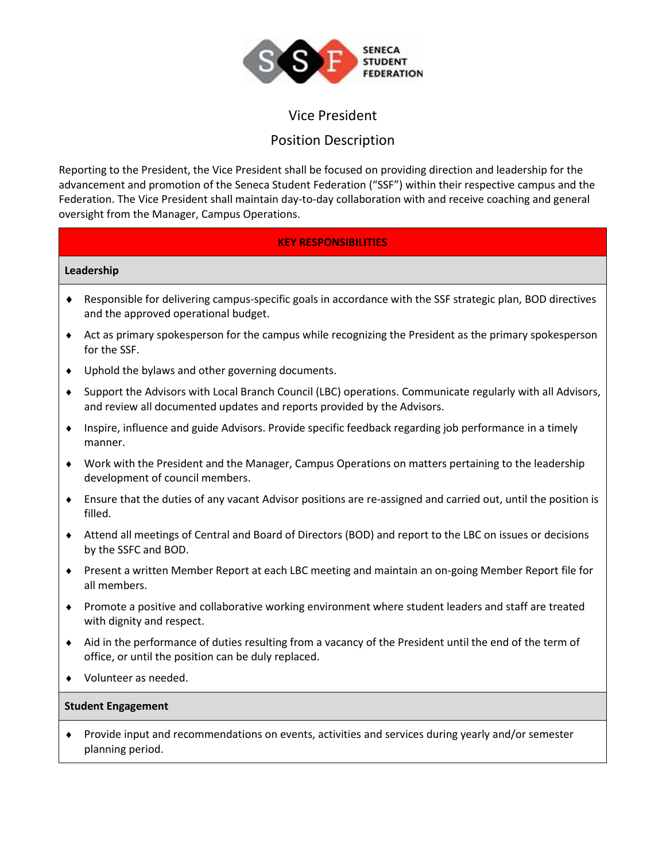

## Position Description

Reporting to the President, the Vice President shall be focused on providing direction and leadership for the advancement and promotion of the Seneca Student Federation ("SSF") within their respective campus and the Federation. The Vice President shall maintain day-to-day collaboration with and receive coaching and general oversight from the Manager, Campus Operations.

### **KEY RESPONSIBILITIES**

#### **Leadership**

- Responsible for delivering campus-specific goals in accordance with the SSF strategic plan, BOD directives and the approved operational budget.
- Act as primary spokesperson for the campus while recognizing the President as the primary spokesperson for the SSF.
- Uphold the bylaws and other governing documents.
- Support the Advisors with Local Branch Council (LBC) operations. Communicate regularly with all Advisors, and review all documented updates and reports provided by the Advisors.
- Inspire, influence and guide Advisors. Provide specific feedback regarding job performance in a timely manner.
- Work with the President and the Manager, Campus Operations on matters pertaining to the leadership development of council members.
- Ensure that the duties of any vacant Advisor positions are re-assigned and carried out, until the position is filled.
- Attend all meetings of Central and Board of Directors (BOD) and report to the LBC on issues or decisions by the SSFC and BOD.
- Present a written Member Report at each LBC meeting and maintain an on-going Member Report file for all members.
- Promote a positive and collaborative working environment where student leaders and staff are treated with dignity and respect.
- Aid in the performance of duties resulting from a vacancy of the President until the end of the term of office, or until the position can be duly replaced.
- Volunteer as needed.

#### **Student Engagement**

 Provide input and recommendations on events, activities and services during yearly and/or semester planning period.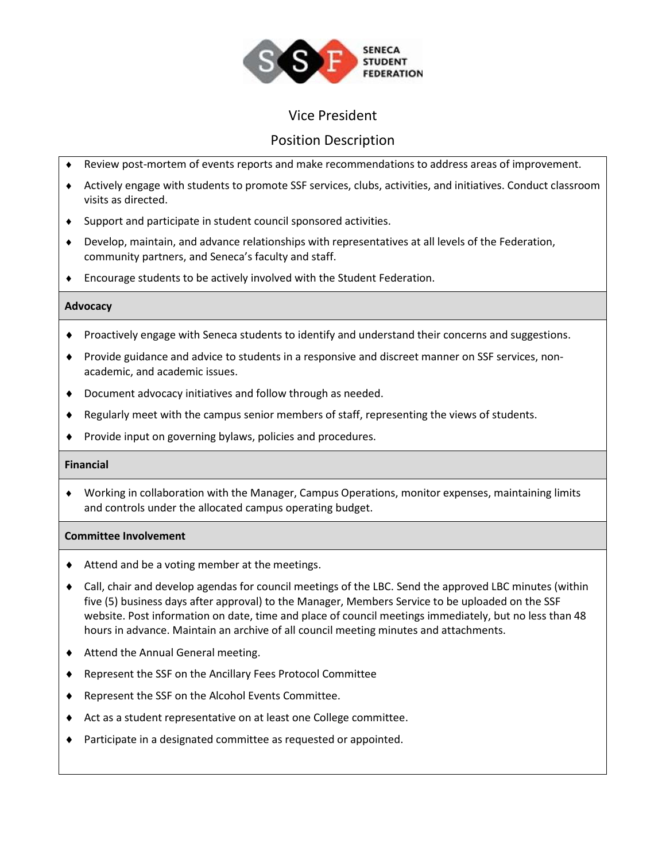

## Position Description

- Review post-mortem of events reports and make recommendations to address areas of improvement.
- Actively engage with students to promote SSF services, clubs, activities, and initiatives. Conduct classroom visits as directed.
- Support and participate in student council sponsored activities.
- Develop, maintain, and advance relationships with representatives at all levels of the Federation, community partners, and Seneca's faculty and staff.
- Encourage students to be actively involved with the Student Federation.

#### **Advocacy**

- Proactively engage with Seneca students to identify and understand their concerns and suggestions.
- Provide guidance and advice to students in a responsive and discreet manner on SSF services, nonacademic, and academic issues.
- Document advocacy initiatives and follow through as needed.
- Regularly meet with the campus senior members of staff, representing the views of students.
- Provide input on governing bylaws, policies and procedures.

#### **Financial**

 Working in collaboration with the Manager, Campus Operations, monitor expenses, maintaining limits and controls under the allocated campus operating budget.

#### **Committee Involvement**

- $\triangleleft$  Attend and be a voting member at the meetings.
- Call, chair and develop agendas for council meetings of the LBC. Send the approved LBC minutes (within five (5) business days after approval) to the Manager, Members Service to be uploaded on the SSF website. Post information on date, time and place of council meetings immediately, but no less than 48 hours in advance. Maintain an archive of all council meeting minutes and attachments.
- Attend the Annual General meeting.
- Represent the SSF on the Ancillary Fees Protocol Committee
- ◆ Represent the SSF on the Alcohol Events Committee.
- Act as a student representative on at least one College committee.
- Participate in a designated committee as requested or appointed.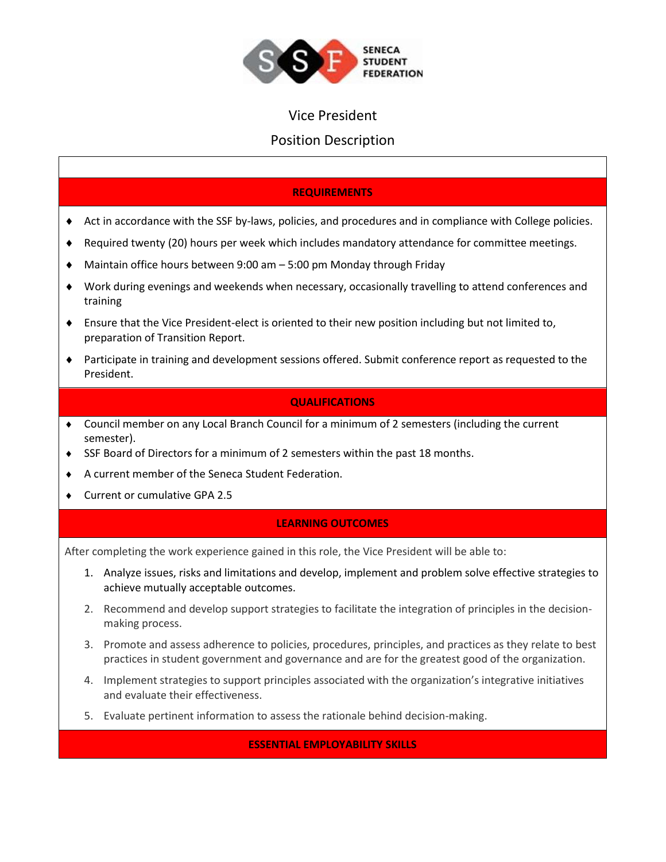

# Position Description

### **REQUIREMENTS**

- Act in accordance with the SSF by-laws, policies, and procedures and in compliance with College policies.
- Required twenty (20) hours per week which includes mandatory attendance for committee meetings.
- $\blacklozenge$  Maintain office hours between 9:00 am  $-5:00$  pm Monday through Friday
- Work during evenings and weekends when necessary, occasionally travelling to attend conferences and training
- Ensure that the Vice President-elect is oriented to their new position including but not limited to, preparation of Transition Report.
- Participate in training and development sessions offered. Submit conference report as requested to the President.

### **QUALIFICATIONS**

- Council member on any Local Branch Council for a minimum of 2 semesters (including the current semester).
- SSF Board of Directors for a minimum of 2 semesters within the past 18 months.
- A current member of the Seneca Student Federation.
- ◆ Current or cumulative GPA 2.5

### **LEARNING OUTCOMES**

After completing the work experience gained in this role, the Vice President will be able to:

- 1. Analyze issues, risks and limitations and develop, implement and problem solve effective strategies to achieve mutually acceptable outcomes.
- 2. Recommend and develop support strategies to facilitate the integration of principles in the decisionmaking process.
- 3. Promote and assess adherence to policies, procedures, principles, and practices as they relate to best practices in student government and governance and are for the greatest good of the organization.
- 4. Implement strategies to support principles associated with the organization's integrative initiatives and evaluate their effectiveness.
- 5. Evaluate pertinent information to assess the rationale behind decision-making.

#### **ESSENTIAL EMPLOYABILITY SKILLS**